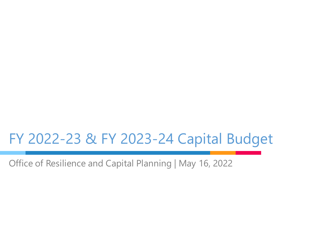# FY 2022-23 & FY 2023-24 Capital Budget

Office of Resilience and Capital Planning | May 16, 2022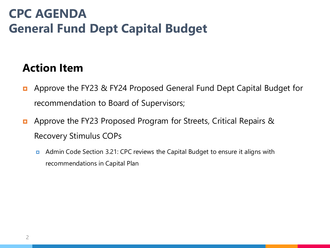# **CPC AGENDA General Fund Dept Capital Budget**

#### **Action Item**

- **E** Approve the FY23 & FY24 Proposed General Fund Dept Capital Budget for recommendation to Board of Supervisors;
- **E** Approve the FY23 Proposed Program for Streets, Critical Repairs & Recovery Stimulus COPs
	- **E** Admin Code Section 3.21: CPC reviews the Capital Budget to ensure it aligns with recommendations in Capital Plan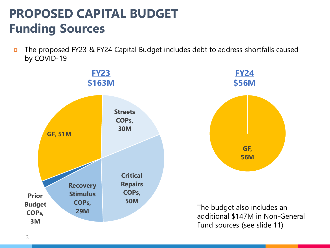# **PROPOSED CAPITAL BUDGET Funding Sources**

■ The proposed FY23 & FY24 Capital Budget includes debt to address shortfalls caused by COVID-19

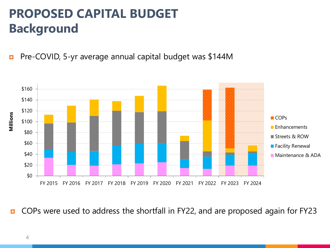# **PROPOSED CAPITAL BUDGET Background**

**Pre-COVID, 5-yr average annual capital budget was \$144M** 



■ COPs were used to address the shortfall in FY22, and are proposed again for FY23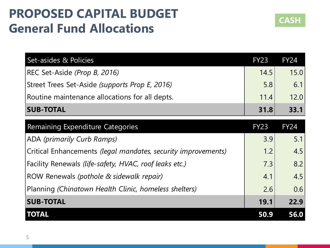## **PROPOSED CAPITAL BUDGET General Fund Allocations**



| Set-asides & Policies                          | <b>FY23</b> | <b>FY24</b> |
|------------------------------------------------|-------------|-------------|
| REC Set-Aside (Prop B, 2016)                   | 14.5        | 15.0        |
| Street Trees Set-Aside (supports Prop E, 2016) | 5.8         | 6.1         |
| Routine maintenance allocations for all depts. | 11.4        | 12.0        |
| <b>SUB-TOTAL</b>                               | 31.8        | 33.1        |

| Remaining Expenditure Categories                              | <b>FY23</b> | <b>FY24</b> |
|---------------------------------------------------------------|-------------|-------------|
| ADA (primarily Curb Ramps)                                    | 3.9         | 5.1         |
| Critical Enhancements (legal mandates, security improvements) | 1.2         | 4.5         |
| Facility Renewals (life-safety, HVAC, roof leaks etc.)        | 7.3         | 8.2         |
| ROW Renewals (pothole & sidewalk repair)                      | 4.1         | 4.5         |
| Planning (Chinatown Health Clinic, homeless shelters)         | 2.6         | 0.6         |
| <b>SUB-TOTAL</b>                                              | 19.1        | 22.9        |
| <b>TOTAL</b>                                                  | 50.9        | 56.0        |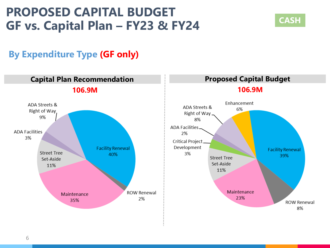#### **PROPOSED CAPITAL BUDGET GF vs. Capital Plan – FY23 & FY24**



#### **By Expenditure Type (GF only)**

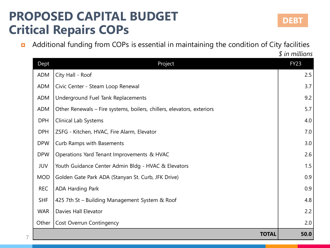### **PROPOSED CAPITAL BUDGET Critical Repairs COPs**

7

**n** Additional funding from COPs is essential in maintaining the condition of City facilities

*\$ in millions*

| Dept       | Project                                                                | <b>FY23</b> |
|------------|------------------------------------------------------------------------|-------------|
| <b>ADM</b> | City Hall - Roof                                                       | 2.5         |
| <b>ADM</b> | Civic Center - Steam Loop Renewal                                      | 3.7         |
| <b>ADM</b> | Underground Fuel Tank Replacements                                     | 9.2         |
| <b>ADM</b> | Other Renewals – Fire systems, boilers, chillers, elevators, exteriors | 5.7         |
| <b>DPH</b> | <b>Clinical Lab Systems</b>                                            | 4.0         |
| <b>DPH</b> | ZSFG - Kitchen, HVAC, Fire Alarm, Elevator                             | 7.0         |
| <b>DPW</b> | Curb Ramps with Basements                                              | 3.0         |
| <b>DPW</b> | Operations Yard Tenant Improvements & HVAC                             | 2.6         |
| <b>JUV</b> | Youth Guidance Center Admin Bldg - HVAC & Elevators                    | 1.5         |
| <b>MOD</b> | Golden Gate Park ADA (Stanyan St. Curb, JFK Drive)                     | 0.9         |
| <b>REC</b> | ADA Harding Park                                                       | 0.9         |
| <b>SHF</b> | 425 7th St - Building Management System & Roof                         | 4.8         |
| <b>WAR</b> | Davies Hall Elevator                                                   | 2.2         |
| Other      | <b>Cost Overrun Contingency</b>                                        | 2.0         |
|            | <b>TOTAL</b>                                                           | 50.0        |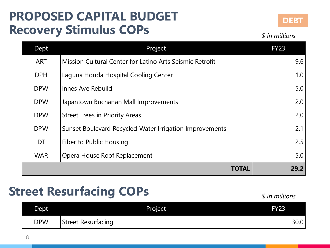### **PROPOSED CAPITAL BUDGET Recovery Stimulus COPs**



*\$ in millions*

| Dept       | Project                                                  | <b>FY23</b> |
|------------|----------------------------------------------------------|-------------|
| <b>ART</b> | Mission Cultural Center for Latino Arts Seismic Retrofit | 9.6         |
| <b>DPH</b> | Laguna Honda Hospital Cooling Center                     | 1.0         |
| <b>DPW</b> | Innes Ave Rebuild                                        | 5.0         |
| <b>DPW</b> | Japantown Buchanan Mall Improvements                     | 2.0         |
| <b>DPW</b> | <b>Street Trees in Priority Areas</b>                    | 2.0         |
| <b>DPW</b> | Sunset Boulevard Recycled Water Irrigation Improvements  | 2.1         |
| DT         | Fiber to Public Housing                                  | 2.5         |
| <b>WAR</b> | Opera House Roof Replacement                             | 5.0         |
|            | TOTAI                                                    | 29.2        |

## **Street Resurfacing COPs** *<i>s* **in millions**

| Dept <sup>1</sup> | Project                   | <b>FY23</b> |
|-------------------|---------------------------|-------------|
| <b>DPW</b>        | <b>Street Resurfacing</b> | 30.0        |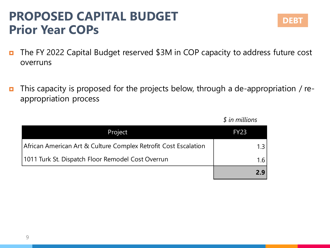#### **PROPOSED CAPITAL BUDGET Prior Year COPs**

- The FY 2022 Capital Budget reserved \$3M in COP capacity to address future cost overruns
- This capacity is proposed for the projects below, through a de-appropriation / reappropriation process

| Project                                                         | <b>FY23</b> |
|-----------------------------------------------------------------|-------------|
| African American Art & Culture Complex Retrofit Cost Escalation | 1.3         |
| 1011 Turk St. Dispatch Floor Remodel Cost Overrun               | 1.6         |
|                                                                 | 2.9         |

*\$ in millions*

**DEBT**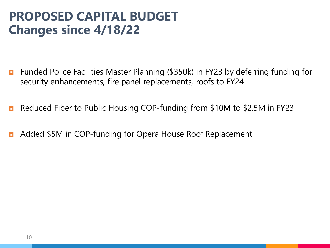#### **PROPOSED CAPITAL BUDGET Changes since 4/18/22**

- **n** Funded Police Facilities Master Planning (\$350k) in FY23 by deferring funding for security enhancements, fire panel replacements, roofs to FY24
- Reduced Fiber to Public Housing COP-funding from \$10M to \$2.5M in FY23
- **D** Added \$5M in COP-funding for Opera House Roof Replacement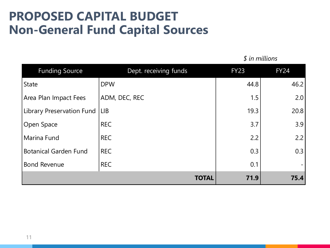#### **PROPOSED CAPITAL BUDGET Non-General Fund Capital Sources**

| <b>Funding Source</b>        | Dept. receiving funds | <b>FY23</b> | <b>FY24</b> |
|------------------------------|-----------------------|-------------|-------------|
| <b>State</b>                 | <b>DPW</b>            | 44.8        | 46.2        |
| Area Plan Impact Fees        | ADM, DEC, REC         | 1.5         | 2.0         |
| Library Preservation Fund    | <b>LIB</b>            | 19.3        | 20.8        |
| Open Space                   | <b>REC</b>            | 3.7         | 3.9         |
| Marina Fund                  | <b>REC</b>            | 2.2         | 2.2         |
| <b>Botanical Garden Fund</b> | <b>REC</b>            | 0.3         | 0.3         |
| <b>Bond Revenue</b>          | <b>REC</b>            | 0.1         |             |
|                              | <b>TOTAL</b>          | 71.9        | 75.4        |

*\$ in millions*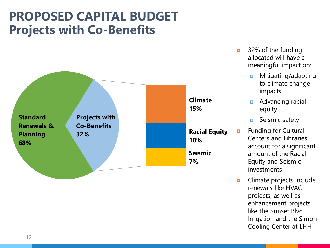#### **PROPOSED CAPITAL BUDGET Projects with Co-Benefits**



- $\overline{a}$  32% of the funding allocated will have a meaningful impact on:
	- **n** Mitigating/adapting to climate change impacts
	- **Advancing racial** equity
	- **E** Seismic safety
- **E** Funding for Cultural Centers and Libraries account for a significant amount of the Racial Equity and Seismic investments
- **D** Climate projects include renewals like HVAC projects, as well as enhancement projects like the Sunset Blvd Irrigation and the Simon Cooling Center at LHH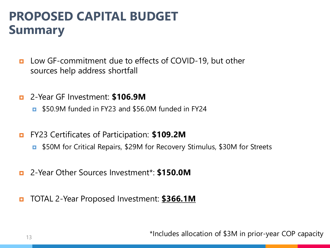### **PROPOSED CAPITAL BUDGET Summary**

- **Low GF-commitment due to effects of COVID-19, but other** sources help address shortfall
- 2-Year GF Investment: **\$106.9M**
	- **E** \$50.9M funded in FY23 and \$56.0M funded in FY24
- FY23 Certificates of Participation: **\$109.2M**
	- \$50M for Critical Repairs, \$29M for Recovery Stimulus, \$30M for Streets
- 2-Year Other Sources Investment\*: **\$150.0M**
- TOTAL 2-Year Proposed Investment: **\$366.1M**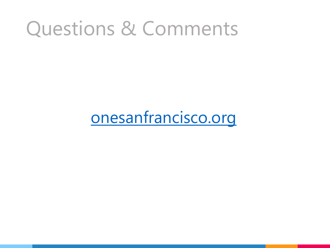# Questions & Comments

# onesanfrancisco.org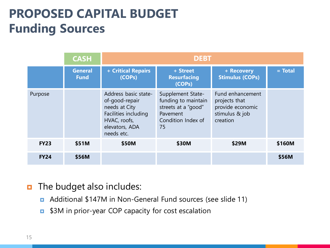# **PROPOSED CAPITAL BUDGET Funding Sources**

|             | <b>CASH</b>                   | <b>DEBT</b>                                                                                                                     |                                                                                                         |                                                                                     |           |
|-------------|-------------------------------|---------------------------------------------------------------------------------------------------------------------------------|---------------------------------------------------------------------------------------------------------|-------------------------------------------------------------------------------------|-----------|
|             | <b>General</b><br><b>Fund</b> | + Critical Repairs<br>(COPs)                                                                                                    | + Street<br><b>Resurfacing</b><br>(COPs)                                                                | + Recovery<br><b>Stimulus (COPs)</b>                                                | $=$ Total |
| Purpose     |                               | Address basic state-<br>of-good-repair<br>needs at City<br>Facilities including<br>HVAC, roofs,<br>elevators, ADA<br>needs etc. | Supplement State-<br>funding to maintain<br>streets at a "good"<br>Pavement<br>Condition Index of<br>75 | Fund enhancement<br>projects that<br>provide economic<br>stimulus & job<br>creation |           |
| <b>FY23</b> | \$51M                         | \$50M                                                                                                                           | \$30M                                                                                                   | \$29M                                                                               | \$160M    |
| <b>FY24</b> | \$56M                         |                                                                                                                                 |                                                                                                         |                                                                                     | \$56M     |

#### **n** The budget also includes:

- Additional \$147M in Non-General Fund sources (see slide 11)
- **E** \$3M in prior-year COP capacity for cost escalation